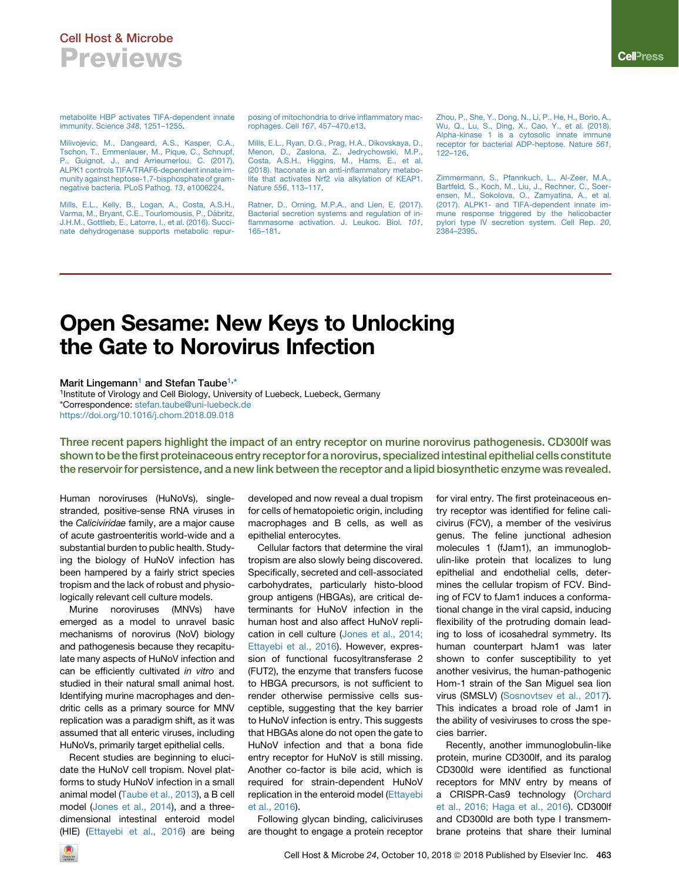## Cell Host & Microbe **Previews**

[metabolite HBP activates TIFA-dependent innate](http://refhub.elsevier.com/S1931-3128(18)30501-8/sref3) [immunity. Science](http://refhub.elsevier.com/S1931-3128(18)30501-8/sref3) *348*, 1251–1255.

[Milivojevic, M., Dangeard, A.S., Kasper, C.A.,](http://refhub.elsevier.com/S1931-3128(18)30501-8/sref4) [Tschon, T., Emmenlauer, M., Pique, C., Schnupf,](http://refhub.elsevier.com/S1931-3128(18)30501-8/sref4) Guignot, J., and Arrieumerlou, C. (2017). [ALPK1 controls TIFA/TRAF6-dependent innate im](http://refhub.elsevier.com/S1931-3128(18)30501-8/sref4)[munity against heptose-1,7-bisphosphate of gram](http://refhub.elsevier.com/S1931-3128(18)30501-8/sref4)[negative bacteria. PLoS Pathog.](http://refhub.elsevier.com/S1931-3128(18)30501-8/sref4) *13*, e1006224.

[Mills, E.L., Kelly, B., Logan, A., Costa, A.S.H.,](http://refhub.elsevier.com/S1931-3128(18)30501-8/sref5) Varma, M., Bryant, C.E., Tourlomousis, P., Däbritz, [J.H.M., Gottlieb, E., Latorre, I., et al. \(2016\). Succi](http://refhub.elsevier.com/S1931-3128(18)30501-8/sref5)[nate dehydrogenase supports metabolic repur-](http://refhub.elsevier.com/S1931-3128(18)30501-8/sref5) [posing of mitochondria to drive inflammatory mac](http://refhub.elsevier.com/S1931-3128(18)30501-8/sref5)[rophages. Cell](http://refhub.elsevier.com/S1931-3128(18)30501-8/sref5) *167*, 457–470.e13.

[Mills, E.L., Ryan, D.G., Prag, H.A., Dikovskaya, D.,](http://refhub.elsevier.com/S1931-3128(18)30501-8/sref6) [Menon, D., Zaslona, Z., Jedrychowski, M.P.,](http://refhub.elsevier.com/S1931-3128(18)30501-8/sref6) [Costa, A.S.H., Higgins, M., Hams, E., et al.](http://refhub.elsevier.com/S1931-3128(18)30501-8/sref6) [\(2018\). Itaconate is an anti-inflammatory metabo](http://refhub.elsevier.com/S1931-3128(18)30501-8/sref6)[lite that activates Nrf2 via alkylation of KEAP1.](http://refhub.elsevier.com/S1931-3128(18)30501-8/sref6) Nature *556*[, 113–117.](http://refhub.elsevier.com/S1931-3128(18)30501-8/sref6)

[Ratner, D., Orning, M.P.A., and Lien, E. \(2017\).](http://refhub.elsevier.com/S1931-3128(18)30501-8/sref7) [Bacterial secretion systems and regulation of in](http://refhub.elsevier.com/S1931-3128(18)30501-8/sref7)[flammasome activation. J. Leukoc. Biol.](http://refhub.elsevier.com/S1931-3128(18)30501-8/sref7) *101*, [165–181](http://refhub.elsevier.com/S1931-3128(18)30501-8/sref7).

[Zhou, P., She, Y., Dong, N., Li, P., He, H., Borio, A.,](http://refhub.elsevier.com/S1931-3128(18)30501-8/sref8) [Wu, Q., Lu, S., Ding, X., Cao, Y., et al. \(2018\).](http://refhub.elsevier.com/S1931-3128(18)30501-8/sref8) [Alpha-kinase 1 is a cytosolic innate immune](http://refhub.elsevier.com/S1931-3128(18)30501-8/sref8) [receptor for bacterial ADP-heptose. Nature](http://refhub.elsevier.com/S1931-3128(18)30501-8/sref8) *561*, [122–126](http://refhub.elsevier.com/S1931-3128(18)30501-8/sref8).

[Zimmermann, S., Pfannkuch, L., Al-Zeer, M.A.,](http://refhub.elsevier.com/S1931-3128(18)30501-8/sref9) [Bartfeld, S., Koch, M., Liu, J., Rechner, C., Soer](http://refhub.elsevier.com/S1931-3128(18)30501-8/sref9)[ensen, M., Sokolova, O., Zamyatina, A., et al.](http://refhub.elsevier.com/S1931-3128(18)30501-8/sref9) [\(2017\). ALPK1- and TIFA-dependent innate im](http://refhub.elsevier.com/S1931-3128(18)30501-8/sref9)[mune response triggered by the helicobacter](http://refhub.elsevier.com/S1931-3128(18)30501-8/sref9) [pylori type IV secretion system. Cell Rep.](http://refhub.elsevier.com/S1931-3128(18)30501-8/sref9) *20*, [2384–2395](http://refhub.elsevier.com/S1931-3128(18)30501-8/sref9).

# Open Sesame: New Keys to Unlocking the Gate to Norovirus Infection

### Marit Lingemann<sup>[1](#page-0-0)</sup> and Stefan Taube<sup>[1,](#page-0-0)[\\*](#page-0-1)</sup>

<span id="page-0-1"></span><span id="page-0-0"></span><sup>1</sup>Institute of Virology and Cell Biology, University of Luebeck, Luebeck, Germany \*Correspondence: [stefan.taube@uni-luebeck.de](mailto:stefan.taube@uni-luebeck.de) <https://doi.org/10.1016/j.chom.2018.09.018>

Three recent papers highlight the impact of an entry receptor on murine norovirus pathogenesis. CD300lf was shown to be the first proteinaceous entry receptor for a norovirus, specialized intestinal epithelial cells constitute the reservoir for persistence, and a new link between the receptor and a lipid biosynthetic enzyme was revealed.

Human noroviruses (HuNoVs), singlestranded, positive-sense RNA viruses in the *Caliciviridae* family, are a major cause of acute gastroenteritis world-wide and a substantial burden to public health. Studying the biology of HuNoV infection has been hampered by a fairly strict species tropism and the lack of robust and physiologically relevant cell culture models.

Murine noroviruses (MNVs) have emerged as a model to unravel basic mechanisms of norovirus (NoV) biology and pathogenesis because they recapitulate many aspects of HuNoV infection and can be efficiently cultivated *in vitro* and studied in their natural small animal host. Identifying murine macrophages and dendritic cells as a primary source for MNV replication was a paradigm shift, as it was assumed that all enteric viruses, including HuNoVs, primarily target epithelial cells.

Recent studies are beginning to elucidate the HuNoV cell tropism. Novel platforms to study HuNoV infection in a small animal model ([Taube et al., 2013\)](#page-2-0), a B cell model [\(Jones et al., 2014](#page-1-0)), and a threedimensional intestinal enteroid model (HIE) ([Ettayebi et al., 2016\)](#page-1-1) are being developed and now reveal a dual tropism for cells of hematopoietic origin, including macrophages and B cells, as well as epithelial enterocytes.

Cellular factors that determine the viral tropism are also slowly being discovered. Specifically, secreted and cell-associated carbohydrates, particularly histo-blood group antigens (HBGAs), are critical determinants for HuNoV infection in the human host and also affect HuNoV replication in cell culture ([Jones et al., 2014;](#page-1-0) [Ettayebi et al., 2016](#page-1-0)). However, expression of functional fucosyltransferase 2 (FUT2), the enzyme that transfers fucose to HBGA precursors, is not sufficient to render otherwise permissive cells susceptible, suggesting that the key barrier to HuNoV infection is entry. This suggests that HBGAs alone do not open the gate to HuNoV infection and that a bona fide entry receptor for HuNoV is still missing. Another co-factor is bile acid, which is required for strain-dependent HuNoV replication in the enteroid model [\(Ettayebi](#page-1-1) [et al., 2016](#page-1-1)).

Following glycan binding, caliciviruses are thought to engage a protein receptor for viral entry. The first proteinaceous entry receptor was identified for feline calicivirus (FCV), a member of the vesivirus genus. The feline junctional adhesion molecules 1 (fJam1), an immunoglobulin-like protein that localizes to lung epithelial and endothelial cells, determines the cellular tropism of FCV. Binding of FCV to fJam1 induces a conformational change in the viral capsid, inducing flexibility of the protruding domain leading to loss of icosahedral symmetry. Its human counterpart hJam1 was later shown to confer susceptibility to yet another vesivirus, the human-pathogenic Hom-1 strain of the San Miguel sea lion virus (SMSLV) [\(Sosnovtsev et al., 2017\)](#page-2-1). This indicates a broad role of Jam1 in the ability of vesiviruses to cross the species barrier.

Recently, another immunoglobulin-like protein, murine CD300lf, and its paralog CD300ld were identified as functional receptors for MNV entry by means of a CRISPR-Cas9 technology [\(Orchard](#page-2-2) [et al., 2016; Haga et al., 2016\)](#page-2-2). CD300lf and CD300ld are both type I transmembrane proteins that share their luminal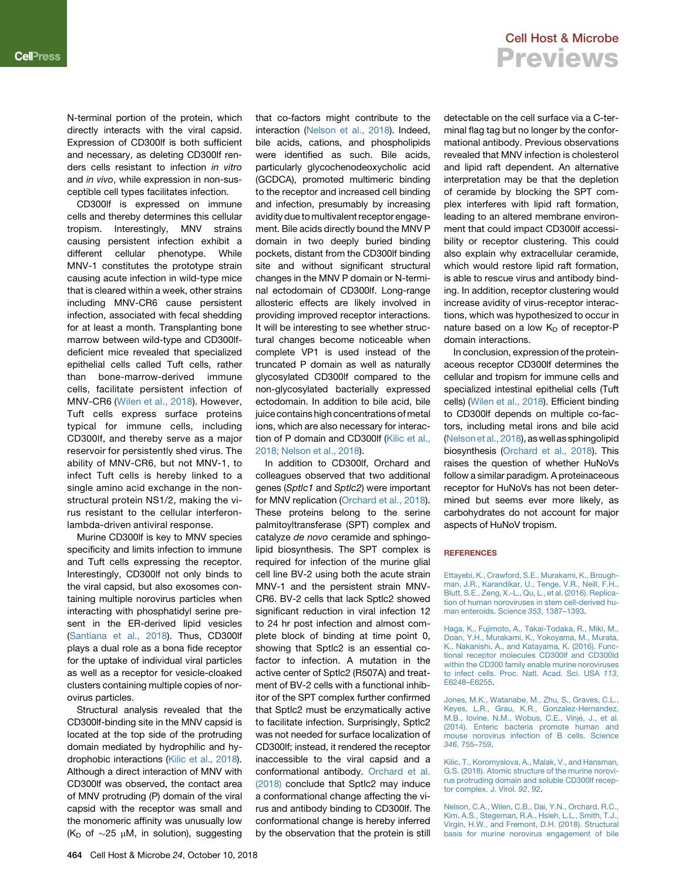N-terminal portion of the protein, which directly interacts with the viral capsid. Expression of CD300lf is both sufficient and necessary, as deleting CD300lf renders cells resistant to infection *in vitro* and *in vivo*, while expression in non-susceptible cell types facilitates infection.

CD300lf is expressed on immune cells and thereby determines this cellular tropism. Interestingly, MNV strains causing persistent infection exhibit a different cellular phenotype. While MNV-1 constitutes the prototype strain causing acute infection in wild-type mice that is cleared within a week, other strains including MNV-CR6 cause persistent infection, associated with fecal shedding for at least a month. Transplanting bone marrow between wild-type and CD300lfdeficient mice revealed that specialized epithelial cells called Tuft cells, rather than bone-marrow-derived immune cells, facilitate persistent infection of MNV-CR6 ([Wilen et al., 2018\)](#page-2-3). However, Tuft cells express surface proteins typical for immune cells, including CD300lf, and thereby serve as a major reservoir for persistently shed virus. The ability of MNV-CR6, but not MNV-1, to infect Tuft cells is hereby linked to a single amino acid exchange in the nonstructural protein NS1/2, making the virus resistant to the cellular interferonlambda-driven antiviral response.

Murine CD300lf is key to MNV species specificity and limits infection to immune and Tuft cells expressing the receptor. Interestingly, CD300lf not only binds to the viral capsid, but also exosomes containing multiple norovirus particles when interacting with phosphatidyl serine present in the ER-derived lipid vesicles ([Santiana et al., 2018](#page-2-4)). Thus, CD300lf plays a dual role as a bona fide receptor for the uptake of individual viral particles as well as a receptor for vesicle-cloaked clusters containing multiple copies of norovirus particles.

Structural analysis revealed that the CD300lf-binding site in the MNV capsid is located at the top side of the protruding domain mediated by hydrophilic and hydrophobic interactions ([Kilic et al., 2018\)](#page-1-2). Although a direct interaction of MNV with CD300lf was observed, the contact area of MNV protruding (P) domain of the viral capsid with the receptor was small and the monomeric affinity was unusually low ( $K_D$  of  $\sim$ 25 µM, in solution), suggesting that co-factors might contribute to the interaction [\(Nelson et al., 2018](#page-1-3)). Indeed, bile acids, cations, and phospholipids were identified as such. Bile acids, particularly glycochenodeoxycholic acid (GCDCA), promoted multimeric binding to the receptor and increased cell binding and infection, presumably by increasing avidity due to multivalent receptor engagement. Bile acids directly bound the MNV P domain in two deeply buried binding pockets, distant from the CD300lf binding site and without significant structural changes in the MNV P domain or N-terminal ectodomain of CD300lf. Long-range allosteric effects are likely involved in providing improved receptor interactions. It will be interesting to see whether structural changes become noticeable when complete VP1 is used instead of the truncated P domain as well as naturally glycosylated CD300lf compared to the non-glycosylated bacterially expressed ectodomain. In addition to bile acid, bile juice contains high concentrations of metal ions, which are also necessary for interaction of P domain and CD300lf ([Kilic et al.,](#page-1-2) [2018; Nelson et al., 2018](#page-1-2)).

In addition to CD300lf, Orchard and colleagues observed that two additional genes (*Sptlc1* and *Sptlc2*) were important for MNV replication ([Orchard et al., 2018\)](#page-2-5). These proteins belong to the serine palmitoyltransferase (SPT) complex and catalyze *de novo* ceramide and sphingolipid biosynthesis. The SPT complex is required for infection of the murine glial cell line BV-2 using both the acute strain MNV-1 and the persistent strain MNV-CR6. BV-2 cells that lack Sptlc2 showed significant reduction in viral infection 12 to 24 hr post infection and almost complete block of binding at time point 0, showing that Sptlc2 is an essential cofactor to infection. A mutation in the active center of Sptlc2 (R507A) and treatment of BV-2 cells with a functional inhibitor of the SPT complex further confirmed that Sptlc2 must be enzymatically active to facilitate infection. Surprisingly, Sptlc2 was not needed for surface localization of CD300lf; instead, it rendered the receptor inaccessible to the viral capsid and a conformational antibody. [Orchard et al.](#page-2-5) [\(2018\)](#page-2-5) conclude that Sptlc2 may induce a conformational change affecting the virus and antibody binding to CD300lf. The conformational change is hereby inferred by the observation that the protein is still

### Cell Host & Microbe **Previews**

detectable on the cell surface via a C-terminal flag tag but no longer by the conformational antibody. Previous observations revealed that MNV infection is cholesterol and lipid raft dependent. An alternative interpretation may be that the depletion of ceramide by blocking the SPT complex interferes with lipid raft formation, leading to an altered membrane environment that could impact CD300lf accessibility or receptor clustering. This could also explain why extracellular ceramide, which would restore lipid raft formation, is able to rescue virus and antibody binding. In addition, receptor clustering would increase avidity of virus-receptor interactions, which was hypothesized to occur in nature based on a low  $K_D$  of receptor-P domain interactions.

In conclusion, expression of the proteinaceous receptor CD300lf determines the cellular and tropism for immune cells and specialized intestinal epithelial cells (Tuft cells) [\(Wilen et al., 2018\)](#page-2-3). Efficient binding to CD300lf depends on multiple co-factors, including metal irons and bile acid ([Nelson et al., 2018](#page-1-3)), as well as sphingolipid biosynthesis [\(Orchard et al., 2018](#page-2-5)). This raises the question of whether HuNoVs follow a similar paradigm. A proteinaceous receptor for HuNoVs has not been determined but seems ever more likely, as carbohydrates do not account for major aspects of HuNoV tropism.

<span id="page-1-1"></span>[Ettayebi, K., Crawford, S.E., Murakami, K., Brough](http://refhub.elsevier.com/S1931-3128(18)30502-X/sref1)[man, J.R., Karandikar, U., Tenge, V.R., Neill, F.H.,](http://refhub.elsevier.com/S1931-3128(18)30502-X/sref1) [Blutt, S.E., Zeng, X.-L., Qu, L., et al. \(2016\). Replica](http://refhub.elsevier.com/S1931-3128(18)30502-X/sref1)[tion of human noroviruses in stem cell-derived hu](http://refhub.elsevier.com/S1931-3128(18)30502-X/sref1)[man enteroids. Science](http://refhub.elsevier.com/S1931-3128(18)30502-X/sref1) *353*, 1387–1393.

[Haga, K., Fujimoto, A., Takai-Todaka, R., Miki, M.,](http://refhub.elsevier.com/S1931-3128(18)30502-X/sref2) [Doan, Y.H., Murakami, K., Yokoyama, M., Murata,](http://refhub.elsevier.com/S1931-3128(18)30502-X/sref2) [K., Nakanishi, A., and Katayama, K. \(2016\). Func](http://refhub.elsevier.com/S1931-3128(18)30502-X/sref2)[tional receptor molecules CD300lf and CD300ld](http://refhub.elsevier.com/S1931-3128(18)30502-X/sref2) [within the CD300 family enable murine noroviruses](http://refhub.elsevier.com/S1931-3128(18)30502-X/sref2) [to infect cells. Proc. Natl. Acad. Sci. USA](http://refhub.elsevier.com/S1931-3128(18)30502-X/sref2) *113*, [E6248–E6255](http://refhub.elsevier.com/S1931-3128(18)30502-X/sref2).

<span id="page-1-0"></span>[Jones, M.K., Watanabe, M., Zhu, S., Graves, C.L.,](http://refhub.elsevier.com/S1931-3128(18)30502-X/sref3) [Keyes, L.R., Grau, K.R., Gonzalez-Hernandez,](http://refhub.elsevier.com/S1931-3128(18)30502-X/sref3) M.B., Iovine, N.M., Wobus, C.E., Vinjé, J., et al. [\(2014\). Enteric bacteria promote human and](http://refhub.elsevier.com/S1931-3128(18)30502-X/sref3) [mouse norovirus infection of B cells. Science](http://refhub.elsevier.com/S1931-3128(18)30502-X/sref3) *346*[, 755–759.](http://refhub.elsevier.com/S1931-3128(18)30502-X/sref3)

<span id="page-1-2"></span>[Kilic, T., Koromyslova, A., Malak, V., and Hansman,](http://refhub.elsevier.com/S1931-3128(18)30502-X/sref5) [G.S. \(2018\). Atomic structure of the murine norovi](http://refhub.elsevier.com/S1931-3128(18)30502-X/sref5)[rus protruding domain and soluble CD300lf recep](http://refhub.elsevier.com/S1931-3128(18)30502-X/sref5)[tor complex. J. Virol.](http://refhub.elsevier.com/S1931-3128(18)30502-X/sref5) *92*, 92.

<span id="page-1-3"></span>[Nelson, C.A., Wilen, C.B., Dai, Y.N., Orchard, R.C.,](http://refhub.elsevier.com/S1931-3128(18)30502-X/sref7) Kim, A.S., Stegeman, R.A., Hsieh, L.L., Smith, T.J. [Virgin, H.W., and Fremont, D.H. \(2018\). Structural](http://refhub.elsevier.com/S1931-3128(18)30502-X/sref7) [basis for murine norovirus engagement of bile](http://refhub.elsevier.com/S1931-3128(18)30502-X/sref7)